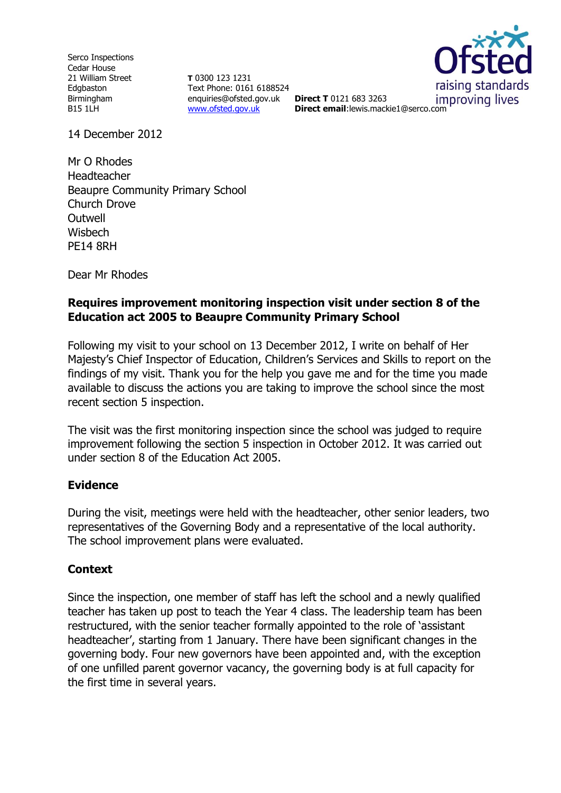Serco Inspections Cedar House 21 William Street Edgbaston Birmingham B15 1LH

**T** 0300 123 1231 Text Phone: 0161 6188524 enquiries@ofsted.gov.uk **Direct T** 0121 683 3263 [www.ofsted.gov.uk](http://www.ofsted.gov.uk/)



improving lives **Direct email**:lewis.mackie1@serco.com

14 December 2012

Mr O Rhodes Headteacher Beaupre Community Primary School Church Drove **Outwell Wisbech** PE14 8RH

Dear Mr Rhodes

### **Requires improvement monitoring inspection visit under section 8 of the Education act 2005 to Beaupre Community Primary School**

Following my visit to your school on 13 December 2012, I write on behalf of Her Majesty's Chief Inspector of Education, Children's Services and Skills to report on the findings of my visit. Thank you for the help you gave me and for the time you made available to discuss the actions you are taking to improve the school since the most recent section 5 inspection.

The visit was the first monitoring inspection since the school was judged to require improvement following the section 5 inspection in October 2012. It was carried out under section 8 of the Education Act 2005.

# **Evidence**

During the visit, meetings were held with the headteacher, other senior leaders, two representatives of the Governing Body and a representative of the local authority. The school improvement plans were evaluated.

# **Context**

Since the inspection, one member of staff has left the school and a newly qualified teacher has taken up post to teach the Year 4 class. The leadership team has been restructured, with the senior teacher formally appointed to the role of 'assistant headteacher', starting from 1 January. There have been significant changes in the governing body. Four new governors have been appointed and, with the exception of one unfilled parent governor vacancy, the governing body is at full capacity for the first time in several years.